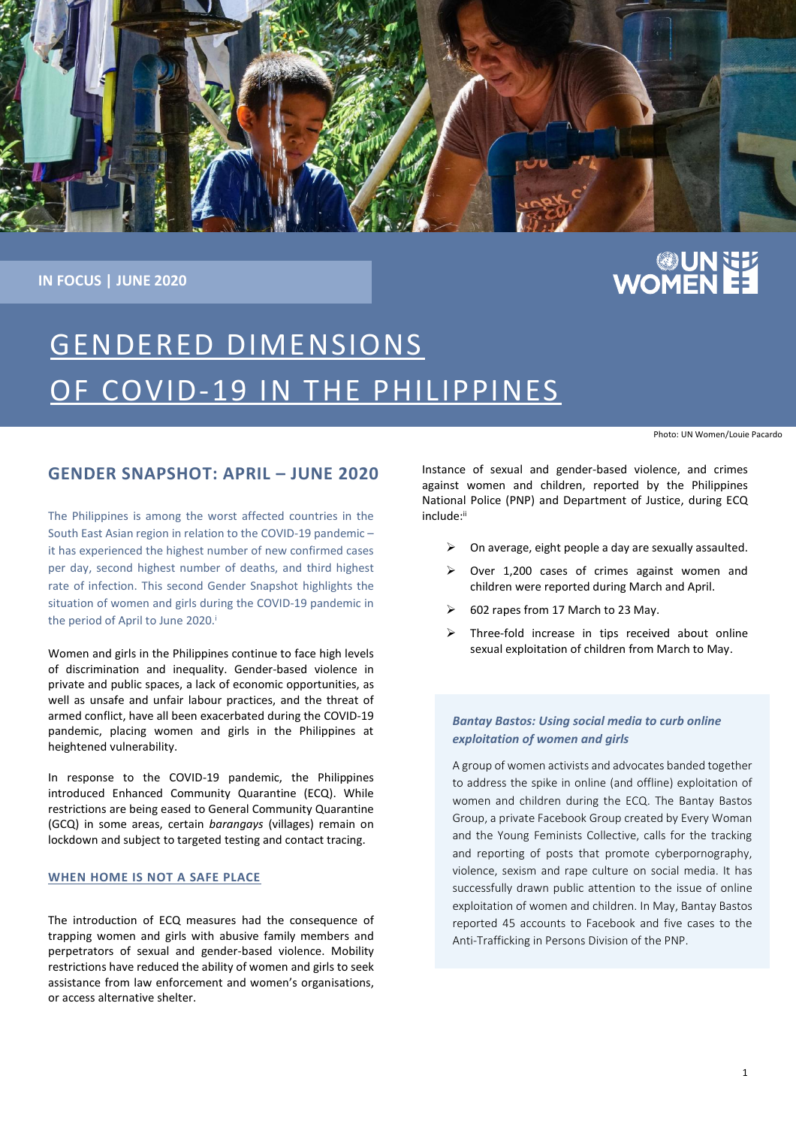

**IN FOCUS | JUNE 2020**

# **EE AUREM**<br>EE AUROWO

# GENDERED DIMENSIONS OF COVID-19 IN THE PHILIPPINES

Photo: UN Women/Louie Pacardo

### **GENDER SNAPSHOT: APRIL – JUNE 2020**

The Philippines is among the worst affected countries in the South East Asian region in relation to the COVID-19 pandemic – it has experienced the highest number of new confirmed cases per day, second highest number of deaths, and third highest rate of infection. This second Gender Snapshot highlights the situation of women and girls during the COVID-19 pandemic in the period of April to June 2020. i

Women and girls in the Philippines continue to face high levels of discrimination and inequality. Gender-based violence in private and public spaces, a lack of economic opportunities, as well as unsafe and unfair labour practices, and the threat of armed conflict, have all been exacerbated during the COVID-19 pandemic, placing women and girls in the Philippines at heightened vulnerability.

In response to the COVID-19 pandemic, the Philippines introduced Enhanced Community Quarantine (ECQ). While restrictions are being eased to General Community Quarantine (GCQ) in some areas, certain *barangays* (villages) remain on lockdown and subject to targeted testing and contact tracing.

#### **WHEN HOME IS NOT A SAFE PLACE**

The introduction of ECQ measures had the consequence of trapping women and girls with abusive family members and perpetrators of sexual and gender-based violence. Mobility restrictions have reduced the ability of women and girls to seek assistance from law enforcement and women's organisations, or access alternative shelter.

Instance of sexual and gender-based violence, and crimes against women and children, reported by the Philippines National Police (PNP) and Department of Justice, during ECQ include: ii

- $\triangleright$  On average, eight people a day are sexually assaulted.
- ➢ Over 1,200 cases of crimes against women and children were reported during March and April.
- ➢ 602 rapes from 17 March to 23 May.
- ➢ Three-fold increase in tips received about online sexual exploitation of children from March to May.

#### *Bantay Bastos: Using social media to curb online exploitation of women and girls*

A group of women activists and advocates banded together to address the spike in online (and offline) exploitation of women and children during the ECQ. The Bantay Bastos Group, a private Facebook Group created by Every Woman and the Young Feminists Collective, calls for the tracking and reporting of posts that promote cyberpornography, violence, sexism and rape culture on social media. It has successfully drawn public attention to the issue of online exploitation of women and children. In May, Bantay Bastos reported 45 accounts to Facebook and five cases to the Anti-Trafficking in Persons Division of the PNP.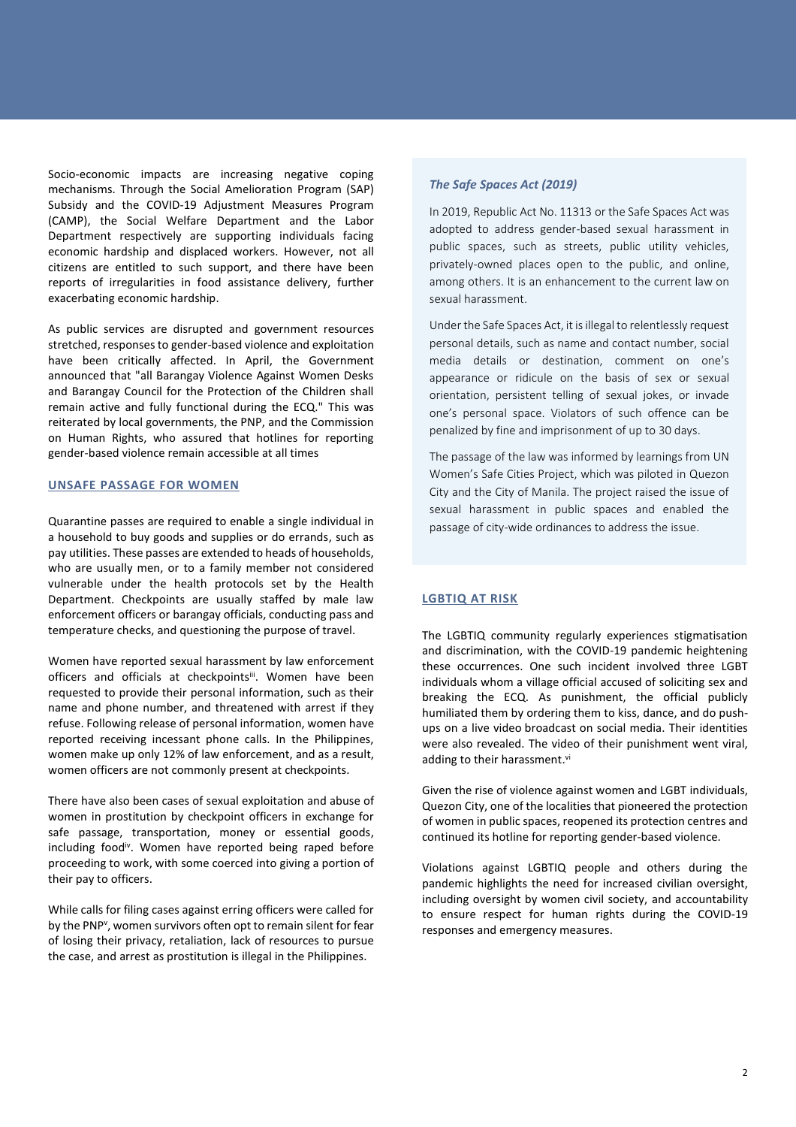Socio-economic impacts are increasing negative coping mechanisms. Through the Social Amelioration Program (SAP) Subsidy and the COVID-19 Adjustment Measures Program (CAMP), the Social Welfare Department and the Labor Department respectively are supporting individuals facing economic hardship and displaced workers. However, not all citizens are entitled to such support, and there have been reports of irregularities in food assistance delivery, further exacerbating economic hardship.

As public services are disrupted and government resources stretched, responses to gender-based violence and exploitation have been critically affected. In April, the Government announced that "all Barangay Violence Against Women Desks and Barangay Council for the Protection of the Children shall remain active and fully functional during the ECQ." This was reiterated by local governments, the PNP, and the Commission on Human Rights, who assured that hotlines for reporting gender-based violence remain accessible at all times

#### **UNSAFE PASSAGE FOR WOMEN**

Quarantine passes are required to enable a single individual in a household to buy goods and supplies or do errands, such as pay utilities. These passes are extended to heads of households, who are usually men, or to a family member not considered vulnerable under the health protocols set by the Health Department. Checkpoints are usually staffed by male law enforcement officers or barangay officials, conducting pass and temperature checks, and questioning the purpose of travel.

Women have reported sexual harassment by law enforcement officers and officials at checkpoints<sup>ii</sup>. Women have been requested to provide their personal information, such as their name and phone number, and threatened with arrest if they refuse. Following release of personal information, women have reported receiving incessant phone calls. In the Philippines, women make up only 12% of law enforcement, and as a result, women officers are not commonly present at checkpoints.

There have also been cases of sexual exploitation and abuse of women in prostitution by checkpoint officers in exchange for safe passage, transportation, money or essential goods, including foodiv . Women have reported being raped before proceeding to work, with some coerced into giving a portion of their pay to officers.

While calls for filing cases against erring officers were called for by the PNP<sup>v</sup>, women survivors often opt to remain silent for fear of losing their privacy, retaliation, lack of resources to pursue the case, and arrest as prostitution is illegal in the Philippines.

#### *The Safe Spaces Act (2019)*

In 2019, Republic Act No. 11313 or the Safe Spaces Act was adopted to address gender-based sexual harassment in public spaces, such as streets, public utility vehicles, privately-owned places open to the public, and online, among others. It is an enhancement to the current law on sexual harassment.

Under the Safe Spaces Act, it is illegal to relentlessly request personal details, such as name and contact number, social media details or destination, comment on one's appearance or ridicule on the basis of sex or sexual orientation, persistent telling of sexual jokes, or invade one's personal space. Violators of such offence can be penalized by fine and imprisonment of up to 30 days.

The passage of the law was informed by learnings from UN Women's Safe Cities Project, which was piloted in Quezon City and the City of Manila. The project raised the issue of sexual harassment in public spaces and enabled the passage of city-wide ordinances to address the issue.

#### **LGBTIQ AT RISK**

The LGBTIQ community regularly experiences stigmatisation and discrimination, with the COVID-19 pandemic heightening these occurrences. One such incident involved three LGBT individuals whom a village official accused of soliciting sex and breaking the ECQ. As punishment, the official publicly humiliated them by ordering them to kiss, dance, and do pushups on a live video broadcast on social media. Their identities were also revealed. The video of their punishment went viral, adding to their harassment.<sup>vi</sup>

Given the rise of violence against women and LGBT individuals, Quezon City, one of the localities that pioneered the protection of women in public spaces, reopened its protection centres and continued its hotline for reporting gender-based violence.

Violations against LGBTIQ people and others during the pandemic highlights the need for increased civilian oversight, including oversight by women civil society, and accountability to ensure respect for human rights during the COVID-19 responses and emergency measures.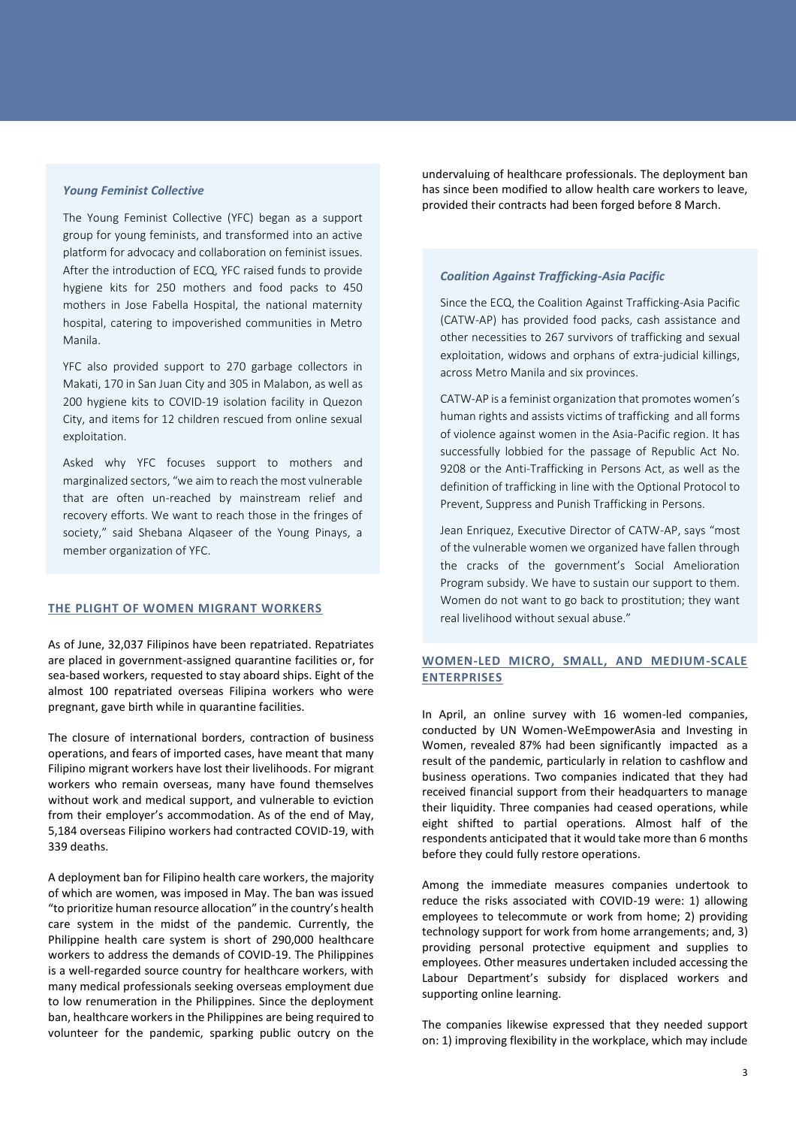#### *Young Feminist Collective*

The Young Feminist Collective (YFC) began as a support group for young feminists, and transformed into an active platform for advocacy and collaboration on feminist issues. After the introduction of ECQ, YFC raised funds to provide hygiene kits for 250 mothers and food packs to 450 mothers in Jose Fabella Hospital, the national maternity hospital, catering to impoverished communities in Metro Manila.

YFC also provided support to 270 garbage collectors in Makati, 170 in San Juan City and 305 in Malabon, as well as 200 hygiene kits to COVID-19 isolation facility in Quezon City, and items for 12 children rescued from online sexual exploitation.

Asked why YFC focuses support to mothers and marginalized sectors, "we aim to reach the most vulnerable that are often un-reached by mainstream relief and recovery efforts. We want to reach those in the fringes of society," said Shebana Alqaseer of the Young Pinays, a member organization of YFC.

#### **THE PLIGHT OF WOMEN MIGRANT WORKERS**

As of June, 32,037 Filipinos have been repatriated. Repatriates are placed in government-assigned quarantine facilities or, for sea-based workers, requested to stay aboard ships. Eight of the almost 100 repatriated overseas Filipina workers who were pregnant, gave birth while in quarantine facilities.

The closure of international borders, contraction of business operations, and fears of imported cases, have meant that many Filipino migrant workers have lost their livelihoods. For migrant workers who remain overseas, many have found themselves without work and medical support, and vulnerable to eviction from their employer's accommodation. As of the end of May, 5,184 overseas Filipino workers had contracted COVID-19, with 339 deaths.

A deployment ban for Filipino health care workers, the majority of which are women, was imposed in May. The ban was issued "to prioritize human resource allocation" in the country's health care system in the midst of the pandemic. Currently, the Philippine health care system is short of 290,000 healthcare workers to address the demands of COVID-19. The Philippines is a well-regarded source country for healthcare workers, with many medical professionals seeking overseas employment due to low renumeration in the Philippines. Since the deployment ban, healthcare workers in the Philippines are being required to volunteer for the pandemic, sparking public outcry on the

undervaluing of healthcare professionals. The deployment ban has since been modified to allow health care workers to leave, provided their contracts had been forged before 8 March.

#### *Coalition Against Trafficking-Asia Pacific*

Since the ECQ, the Coalition Against Trafficking-Asia Pacific (CATW-AP) has provided food packs, cash assistance and other necessities to 267 survivors of trafficking and sexual exploitation, widows and orphans of extra-judicial killings, across Metro Manila and six provinces.

CATW-AP is a feminist organization that promotes women's human rights and assists victims of trafficking and all forms of violence against women in the Asia-Pacific region. It has successfully lobbied for the passage of Republic Act No. 9208 or the Anti-Trafficking in Persons Act, as well as the definition of trafficking in line with the Optional Protocol to Prevent, Suppress and Punish Trafficking in Persons.

Jean Enriquez, Executive Director of CATW-AP, says "most of the vulnerable women we organized have fallen through the cracks of the government's Social Amelioration Program subsidy. We have to sustain our support to them. Women do not want to go back to prostitution; they want real livelihood without sexual abuse."

#### WOMEN-LED MICRO, SMALL, AND MEDIUM-SCALE<br>ENTERPRISES **ENTERPRISES** survivors of prostitution started their livelihoods by selling by selling by selling by selling by selling by s

In April, an online survey with 16 women-led companies, conducted by UN Women-WeEmpowerAsia and Investing in Women, revealed 87% had been significantly impacted as a result of the pandemic, particularly in relation to cashflow and business operations. Two companies indicated that they had received financial support from their headquarters to manage their liquidity. Three companies had ceased operations, while eight shifted to partial operations. Almost half of the respondents anticipated that it would take more than 6 months before they could fully restore operations.

Among the immediate measures companies undertook to reduce the risks associated with COVID-19 were: 1) allowing employees to telecommute or work from home; 2) providing technology support for work from home arrangements; and, 3) providing personal protective equipment and supplies to employees. Other measures undertaken included accessing the Labour Department's subsidy for displaced workers and supporting online learning.

The companies likewise expressed that they needed support on: 1) improving flexibility in the workplace, which may include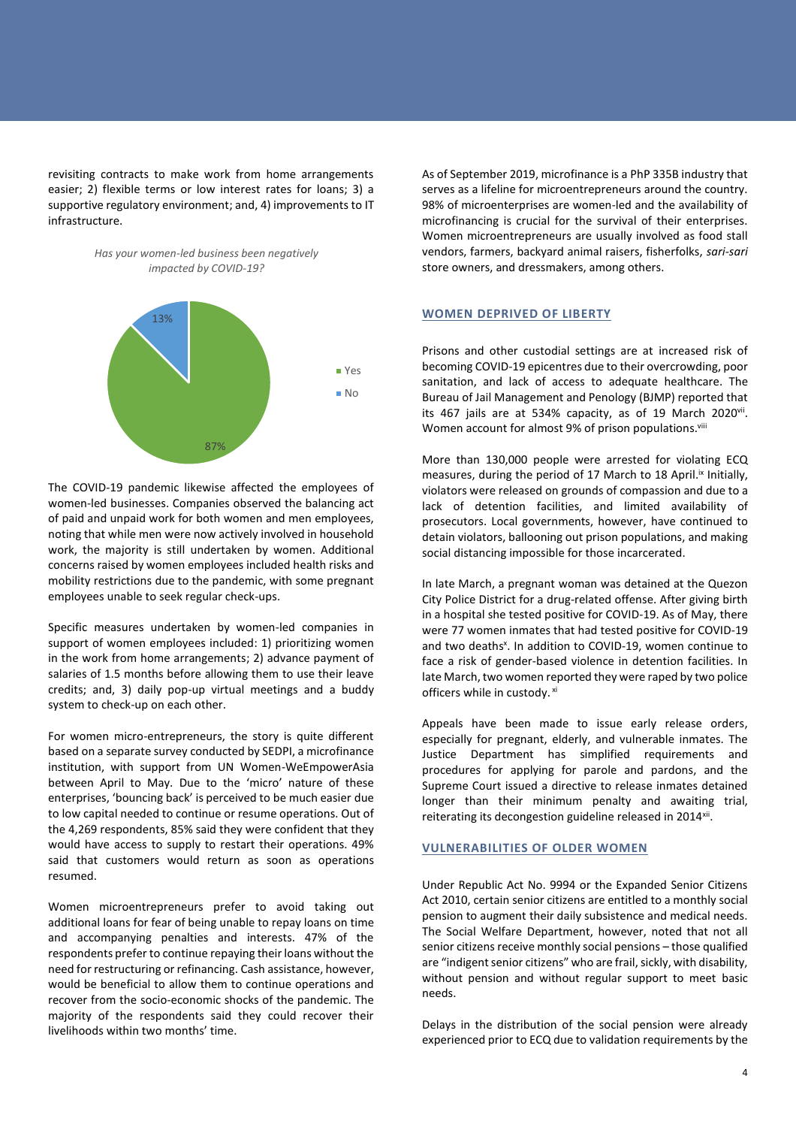revisiting contracts to make work from home arrangements easier; 2) flexible terms or low interest rates for loans; 3) a supportive regulatory environment; and, 4) improvements to IT infrastructure.





The COVID-19 pandemic likewise affected the employees of women-led businesses. Companies observed the balancing act of paid and unpaid work for both women and men employees, noting that while men were now actively involved in household work, the majority is still undertaken by women. Additional concerns raised by women employees included health risks and mobility restrictions due to the pandemic, with some pregnant employees unable to seek regular check-ups.

Specific measures undertaken by women-led companies in support of women employees included: 1) prioritizing women in the work from home arrangements; 2) advance payment of salaries of 1.5 months before allowing them to use their leave credits; and, 3) daily pop-up virtual meetings and a buddy system to check-up on each other.

For women micro-entrepreneurs, the story is quite different based on a separate survey conducted by SEDPI, a microfinance institution, with support from UN Women-WeEmpowerAsia between April to May. Due to the 'micro' nature of these enterprises, 'bouncing back' is perceived to be much easier due to low capital needed to continue or resume operations. Out of the 4,269 respondents, 85% said they were confident that they would have access to supply to restart their operations. 49% said that customers would return as soon as operations resumed.

Women microentrepreneurs prefer to avoid taking out additional loans for fear of being unable to repay loans on time and accompanying penalties and interests. 47% of the respondents prefer to continue repaying their loans without the need for restructuring or refinancing. Cash assistance, however, would be beneficial to allow them to continue operations and recover from the socio-economic shocks of the pandemic. The majority of the respondents said they could recover their livelihoods within two months' time.

As of September 2019, microfinance is a PhP 335B industry that serves as a lifeline for microentrepreneurs around the country. 98% of microenterprises are women-led and the availability of microfinancing is crucial for the survival of their enterprises. Women microentrepreneurs are usually involved as food stall vendors, farmers, backyard animal raisers, fisherfolks, *sari-sari* store owners, and dressmakers, among others.

#### **WOMEN DEPRIVED OF LIBERTY**

Prisons and other custodial settings are at increased risk of becoming COVID-19 epicentres due to their overcrowding, poor sanitation, and lack of access to adequate healthcare. The Bureau of Jail Management and Penology (BJMP) reported that its 467 jails are at 534% capacity, as of 19 March 2020<sup>vii</sup>. Women account for almost 9% of prison populations.<sup>viii</sup>

More than 130,000 people were arrested for violating ECQ measures, during the period of 17 March to 18 April.<sup>ix</sup> Initially, violators were released on grounds of compassion and due to a lack of detention facilities, and limited availability of prosecutors. Local governments, however, have continued to detain violators, ballooning out prison populations, and making social distancing impossible for those incarcerated.

In late March, a pregnant woman was detained at the Quezon City Police District for a drug-related offense. After giving birth in a hospital she tested positive for COVID-19. As of May, there were 77 women inmates that had tested positive for COVID-19 and two deaths<sup>x</sup>. In addition to COVID-19, women continue to face a risk of gender-based violence in detention facilities. In late March, two women reported they were raped by two police officers while in custody. xi

Appeals have been made to issue early release orders, especially for pregnant, elderly, and vulnerable inmates. The Justice Department has simplified requirements and procedures for applying for parole and pardons, and the Supreme Court issued a directive to release inmates detained longer than their minimum penalty and awaiting trial, reiterating its decongestion guideline released in 2014<sup>xii</sup>.

#### **VULNERABILITIES OF OLDER WOMEN**

Under Republic Act No. 9994 or the Expanded Senior Citizens Act 2010, certain senior citizens are entitled to a monthly social pension to augment their daily subsistence and medical needs. The Social Welfare Department, however, noted that not all senior citizens receive monthly social pensions – those qualified are "indigent senior citizens" who are frail, sickly, with disability, without pension and without regular support to meet basic needs.

Delays in the distribution of the social pension were already experienced prior to ECQ due to validation requirements by the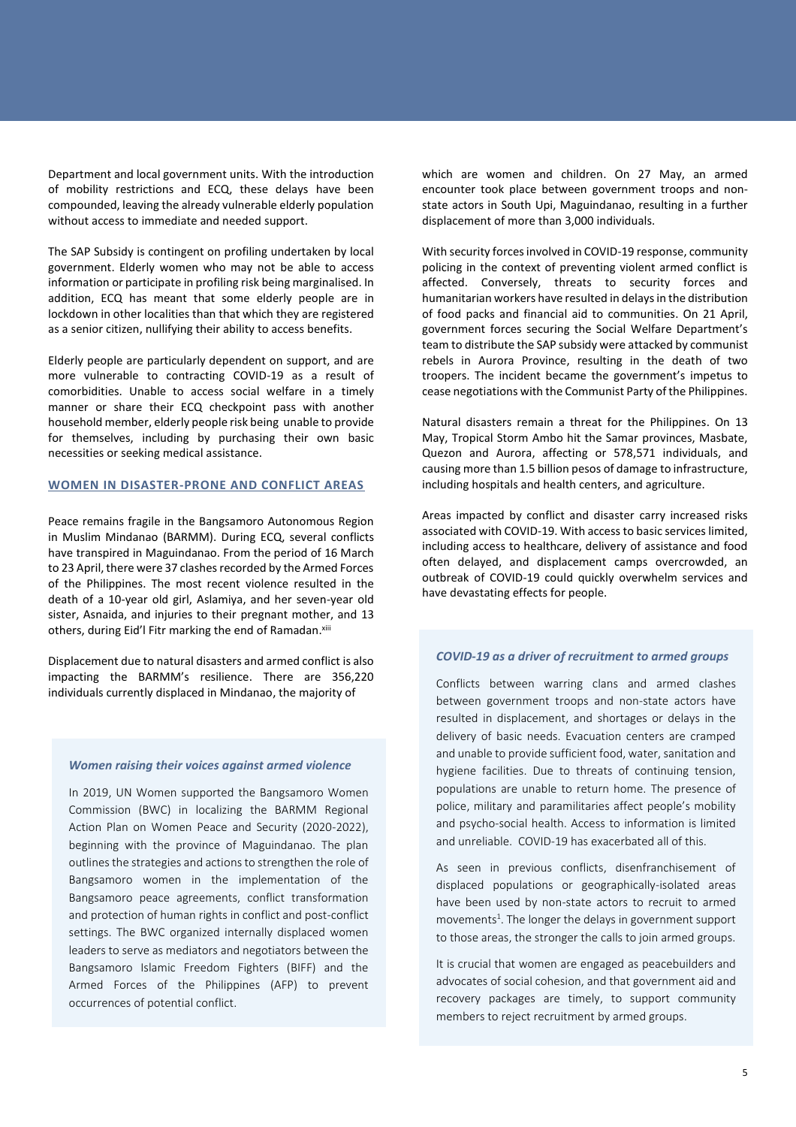Department and local government units. With the introduction of mobility restrictions and ECQ, these delays have been compounded, leaving the already vulnerable elderly population without access to immediate and needed support.

The SAP Subsidy is contingent on profiling undertaken by local government. Elderly women who may not be able to access information or participate in profiling risk being marginalised. In addition, ECQ has meant that some elderly people are in lockdown in other localities than that which they are registered as a senior citizen, nullifying their ability to access benefits.

Elderly people are particularly dependent on support, and are more vulnerable to contracting COVID-19 as a result of comorbidities. Unable to access social welfare in a timely manner or share their ECQ checkpoint pass with another household member, elderly people risk being unable to provide for themselves, including by purchasing their own basic necessities or seeking medical assistance.

#### **WOMEN IN DISASTER-PRONE AND CONFLICT AREAS**

Peace remains fragile in the Bangsamoro Autonomous Region in Muslim Mindanao (BARMM). During ECQ, several conflicts have transpired in Maguindanao. From the period of 16 March to 23 April, there were 37 clashes recorded by the Armed Forces of the Philippines. The most recent violence resulted in the death of a 10-year old girl, Aslamiya, and her seven-year old sister, Asnaida, and injuries to their pregnant mother, and 13 others, during Eid'l Fitr marking the end of Ramadan.<sup>xiii</sup>

Displacement due to natural disasters and armed conflict is also impacting the BARMM's resilience. There are 356,220 individuals currently displaced in Mindanao, the majority of

#### *Women raising their voices against armed violence*

In 2019, UN Women supported the Bangsamoro Women Commission (BWC) in localizing the BARMM Regional Action Plan on Women Peace and Security (2020-2022), beginning with the province of Maguindanao. The plan outlines the strategies and actions to strengthen the role of Bangsamoro women in the implementation of the Bangsamoro peace agreements, conflict transformation and protection of human rights in conflict and post-conflict settings. The BWC organized internally displaced women leaders to serve as mediators and negotiators between the Bangsamoro Islamic Freedom Fighters (BIFF) and the Armed Forces of the Philippines (AFP) to prevent occurrences of potential conflict.

which are women and children. On 27 May, an armed encounter took place between government troops and nonstate actors in South Upi, Maguindanao, resulting in a further displacement of more than 3,000 individuals.

With security forces involved in COVID-19 response, community policing in the context of preventing violent armed conflict is affected. Conversely, threats to security forces and humanitarian workers have resulted in delays in the distribution of food packs and financial aid to communities. On 21 April, government forces securing the Social Welfare Department's team to distribute the SAP subsidy were attacked by communist rebels in Aurora Province, resulting in the death of two troopers. The incident became the government's impetus to cease negotiations with the Communist Party of the Philippines.

Natural disasters remain a threat for the Philippines. On 13 May, Tropical Storm Ambo hit the Samar provinces, Masbate, Quezon and Aurora, affecting or 578,571 individuals, and causing more than 1.5 billion pesos of damage to infrastructure, including hospitals and health centers, and agriculture.

Areas impacted by conflict and disaster carry increased risks associated with COVID-19. With access to basic services limited, including access to healthcare, delivery of assistance and food often delayed, and displacement camps overcrowded, an outbreak of COVID-19 could quickly overwhelm services and have devastating effects for people.

#### *COVID-19 as a driver of recruitment to armed groups*

Conflicts between warring clans and armed clashes between government troops and non-state actors have resulted in displacement, and shortages or delays in the delivery of basic needs. Evacuation centers are cramped and unable to provide sufficient food, water, sanitation and hygiene facilities. Due to threats of continuing tension, populations are unable to return home. The presence of police, military and paramilitaries affect people's mobility and psycho-social health. Access to information is limited and unreliable. COVID-19 has exacerbated all of this.

As seen in previous conflicts, disenfranchisement of displaced populations or geographically-isolated areas have been used by non-state actors to recruit to armed movements<sup>1</sup>. The longer the delays in government support to those areas, the stronger the calls to join armed groups.

It is crucial that women are engaged as peacebuilders and advocates of social cohesion, and that government aid and recovery packages are timely, to support community members to reject recruitment by armed groups.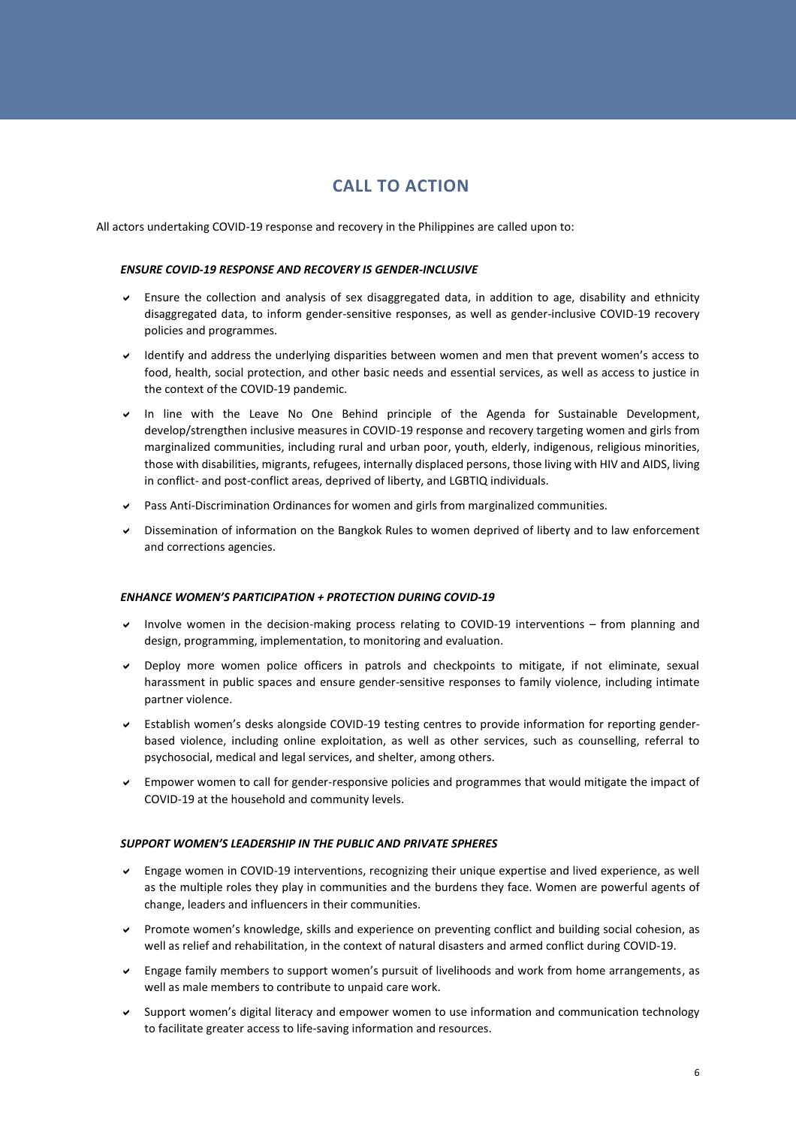## **CALL TO ACTION**

All actors undertaking COVID-19 response and recovery in the Philippines are called upon to:

#### *ENSURE COVID-19 RESPONSE AND RECOVERY IS GENDER-INCLUSIVE*

- Ensure the collection and analysis of sex disaggregated data, in addition to age, disability and ethnicity disaggregated data, to inform gender-sensitive responses, as well as gender-inclusive COVID-19 recovery policies and programmes.
- Identify and address the underlying disparities between women and men that prevent women's access to food, health, social protection, and other basic needs and essential services, as well as access to justice in the context of the COVID-19 pandemic.
- In line with the Leave No One Behind principle of the Agenda for Sustainable Development, develop/strengthen inclusive measures in COVID-19 response and recovery targeting women and girls from marginalized communities, including rural and urban poor, youth, elderly, indigenous, religious minorities, those with disabilities, migrants, refugees, internally displaced persons, those living with HIV and AIDS, living in conflict- and post-conflict areas, deprived of liberty, and LGBTIQ individuals.
- Pass Anti-Discrimination Ordinances for women and girls from marginalized communities.
- Dissemination of information on the Bangkok Rules to women deprived of liberty and to law enforcement and corrections agencies.

#### *ENHANCE WOMEN'S PARTICIPATION + PROTECTION DURING COVID-19*

- $\vee$  Involve women in the decision-making process relating to COVID-19 interventions from planning and design, programming, implementation, to monitoring and evaluation.
- Deploy more women police officers in patrols and checkpoints to mitigate, if not eliminate, sexual harassment in public spaces and ensure gender-sensitive responses to family violence, including intimate partner violence.
- Establish women's desks alongside COVID-19 testing centres to provide information for reporting genderbased violence, including online exploitation, as well as other services, such as counselling, referral to psychosocial, medical and legal services, and shelter, among others.
- Empower women to call for gender-responsive policies and programmes that would mitigate the impact of COVID-19 at the household and community levels.

#### *SUPPORT WOMEN'S LEADERSHIP IN THE PUBLIC AND PRIVATE SPHERES*

- Engage women in COVID-19 interventions, recognizing their unique expertise and lived experience, as well as the multiple roles they play in communities and the burdens they face. Women are powerful agents of change, leaders and influencers in their communities.
- Promote women's knowledge, skills and experience on preventing conflict and building social cohesion, as well as relief and rehabilitation, in the context of natural disasters and armed conflict during COVID-19.
- Engage family members to support women's pursuit of livelihoods and work from home arrangements, as well as male members to contribute to unpaid care work.
- Support women's digital literacy and empower women to use information and communication technology to facilitate greater access to life-saving information and resources.